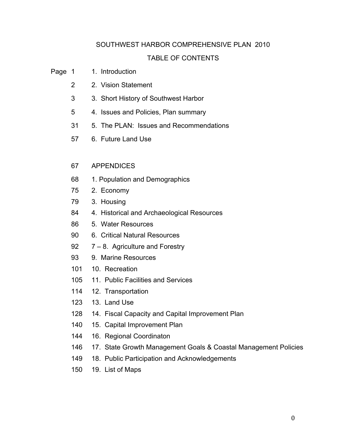## SOUTHWEST HARBOR COMPREHENSIVE PLAN 2010

## TABLE OF CONTENTS

- Page 1 1. Introduction
	- 2. Vision Statement
	- 3. Short History of Southwest Harbor
	- 4. Issues and Policies, Plan summary
	- 5. The PLAN: Issues and Recommendations
	- 6. Future Land Use

## APPENDICES

- 1. Population and Demographics
- 2. Economy
- 3. Housing
- 4. Historical and Archaeological Resources
- 5. Water Resources
- 6. Critical Natural Resources
- 92 7 8. Agriculture and Forestry
- 9. Marine Resources
- 10. Recreation
- 11. Public Facilities and Services
- 12. Transportation
- 13. Land Use
- 14. Fiscal Capacity and Capital Improvement Plan
- 15. Capital Improvement Plan
- 16. Regional Coordinaton
- 17. State Growth Management Goals & Coastal Management Policies
- 149 18. Public Participation and Acknowledgements
- 19. List of Maps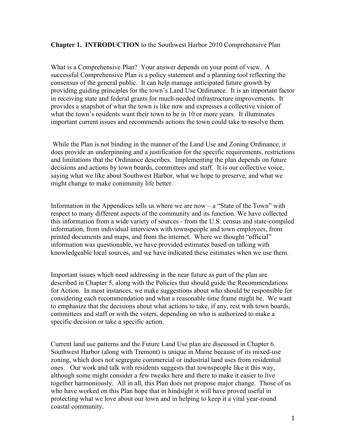## **Chapter 1. INTRODUCTION** to the Southwest Harbor 2010 Comprehensive Plan

What is a Comprehensive Plan? Your answer depends on your point of view. A successful Comprehensive Plan is a policy statement and a planning tool reflecting the consensus of the general public. It can help manage anticipated future growth by providing guiding principles for the town's Land Use Ordinance. It is an important factor in receiving state and federal grants for much-needed infrastructure improvements. It provides a snapshot of what the town is like now and expresses a collective vision of what the town's residents want their town to be in 10 or more years. It illuminates important current issues and recommends actions the town could take to resolve them.

 While the Plan is not binding in the manner of the Land Use and Zoning Ordinance, it does provide an underpinning and a justification for the specific requirements, restrictions and limitations that the Ordinance describes. Implementing the plan depends on future decisions and actions by town boards, committees and staff. It is our collective voice, saying what we like about Southwest Harbor, what we hope to preserve, and what we might change to make community life better.

Information in the Appendices tells us where we are now  $-$  a "State of the Town" with respect to many different aspects of the community and its function. We have collected this information from a wide variety of sources - from the U.S. census and state-compiled information, from individual interviews with townspeople and town employees, from printed documents and maps, and from the internet. Where we thought "official" information was questionable, we have provided estimates based on talking with knowledgeable local sources, and we have indicated these estimates when we use them.

Important issues which need addressing in the near future as part of the plan are described in Chapter 5, along with the Policies that should guide the Recommendations for Action. In most instances, we make suggestions about who should be responsible for considering each recommendation and what a reasonable time frame might be. We want to emphasize that the decisions about what actions to take, if any, rest with town boards, committees and staff or with the voters, depending on who is authorized to make a specific decision or take a specific action.

Current land use patterns and the Future Land Use plan are discussed in Chapter 6. Southwest Harbor (along with Tremont) is unique in Maine because of its mixed-use zoning, which does not segregate commercial or industrial land uses from residential ones. Our work and talk with residents suggests that townspeople like it this way, although some might consider a few tweaks here and there to make it easier to live together harmoniously. All in all, this Plan does not propose major change. Those of us who have worked on this Plan hope that in hindsight it will have proved useful in protecting what we love about our town and in helping to keep it a vital year-round coastal community.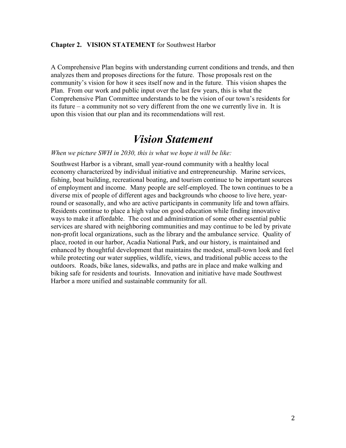### **Chapter 2. VISION STATEMENT** for Southwest Harbor

A Comprehensive Plan begins with understanding current conditions and trends, and then analyzes them and proposes directions for the future. Those proposals rest on the community's vision for how it sees itself now and in the future. This vision shapes the Plan. From our work and public input over the last few years, this is what the Comprehensive Plan Committee understands to be the vision of our town's residents for its future – a community not so very different from the one we currently live in. It is upon this vision that our plan and its recommendations will rest.

# *Vision Statement*

#### *When we picture SWH in 2030, this is what we hope it will be like:*

Southwest Harbor is a vibrant, small year-round community with a healthy local economy characterized by individual initiative and entrepreneurship. Marine services, fishing, boat building, recreational boating, and tourism continue to be important sources of employment and income. Many people are self-employed. The town continues to be a diverse mix of people of different ages and backgrounds who choose to live here, yearround or seasonally, and who are active participants in community life and town affairs. Residents continue to place a high value on good education while finding innovative ways to make it affordable. The cost and administration of some other essential public services are shared with neighboring communities and may continue to be led by private non-profit local organizations, such as the library and the ambulance service. Quality of place, rooted in our harbor, Acadia National Park, and our history, is maintained and enhanced by thoughtful development that maintains the modest, small-town look and feel while protecting our water supplies, wildlife, views, and traditional public access to the outdoors. Roads, bike lanes, sidewalks, and paths are in place and make walking and biking safe for residents and tourists. Innovation and initiative have made Southwest Harbor a more unified and sustainable community for all.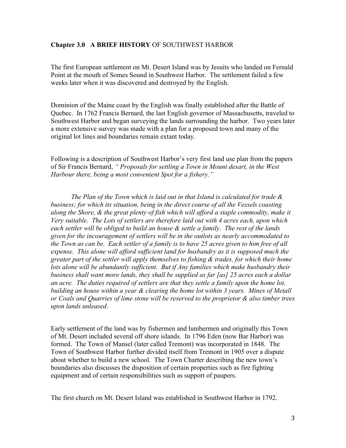## **Chapter 3.0 A BRIEF HISTORY** OF SOUTHWEST HARBOR

The first European settlement on Mt. Desert Island was by Jesuits who landed on Fernald Point at the mouth of Somes Sound in Southwest Harbor. The settlement failed a few weeks later when it was discovered and destroyed by the English.

Dominion of the Maine coast by the English was finally established after the Battle of Quebec. In 1762 Francis Bernard, the last English governor of Massachusetts, traveled to Southwest Harbor and began surveying the lands surrounding the harbor. Two years later a more extensive survey was made with a plan for a proposed town and many of the original lot lines and boundaries remain extant today.

Following is a description of Southwest Harbor's very first land use plan from the papers of Sir Francis Bernard, *" Proposals for settling a Town in Mount desart, in the West Harbour there, being a most convenient Spot for a fishery."*

*The Plan of the Town which is laid out in that Island is calculated for trade & business; for which its situation, being in the direct course of all the Vessels coasting along the Shore, & the great plenty of fish which will afford a staple commodity, make it Very suitable. The Lots of settlers are therefore laid out with 4 acres each, upon which each settler will be obliged to build an house & settle a family. The rest of the lands given for the incouragement of settlers will be in the outlots as nearly accommodated to the Town as can be. Each settler of a family is to have 25 acres given to him free of all expense. This alone will afford sufficient land for husbandry as it is supposed much the greater part of the settler will apply themselves to fishing & trades, for which their home*  lots alone will be abundantly sufficient. But if Any families which make husbandry their *business shall want more lands, they shall be supplied as far [as] 25 acres each a dollar an acre. The duties required of settlers are that they settle a family upon the home lot, building an house within a year & clearing the home lot within 3 years. Mines of Metall or Coals and Quarries of lime stone will be reserved to the proprietor & also timber trees upon lands unleased*.

Early settlement of the land was by fishermen and lumbermen and originally this Town of Mt. Desert included several off shore islands. In 1796 Eden (now Bar Harbor) was formed. The Town of Mansel (later called Tremont) was incorporated in 1848. The Town of Southwest Harbor further divided itself from Tremont in 1905 over a dispute about whether to build a new school. The Town Charter describing the new town's boundaries also discusses the disposition of certain properties such as fire fighting equipment and of certain responsibilities such as support of paupers.

The first church on Mt. Desert Island was established in Southwest Harbor in 1792.